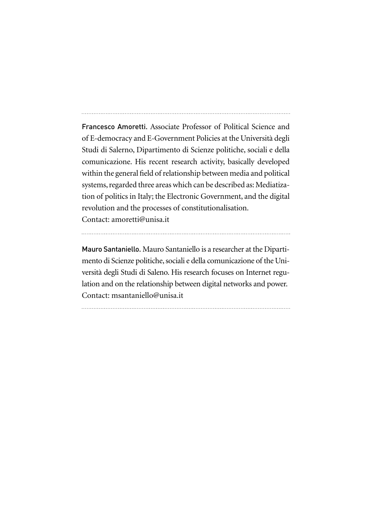Francesco Amoretti. Associate Professor of Political Science and of E-democracy and E-Government Policies at the Università degli Studi di Salerno, Dipartimento di Scienze politiche, sociali e della comunicazione. His recent research activity, basically developed within the general field of relationship between media and political systems, regarded three areas which can be described as: Mediatization of politics in Italy; the Electronic Government, and the digital revolution and the processes of constitutionalisation. Contact: amoretti@unisa.it

Mauro Santaniello. Mauro Santaniello is a researcher at the Dipartimento di Scienze politiche, sociali e della comunicazione of the Università degli Studi di Saleno. His research focuses on Internet regulation and on the relationship between digital networks and power. Contact: msantaniello@unisa.it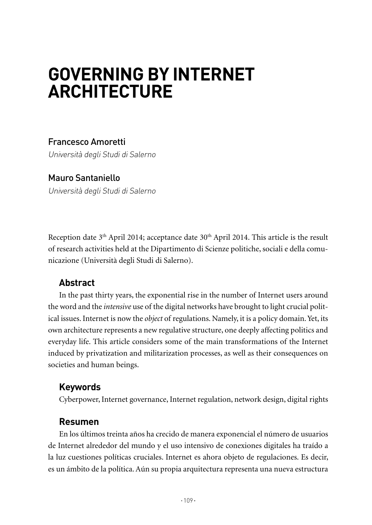# **GOVERNING BY INTERNET ARChITECTuRE**

# Francesco Amoretti

Università degli Studi di Salerno

# Mauro Santaniello Università degli Studi di Salerno

Reception date 3<sup>th</sup> April 2014; acceptance date 30<sup>th</sup> April 2014. This article is the result of research activities held at the Dipartimento di Scienze politiche, sociali e della comunicazione (Università degli Studi di Salerno).

## **Abstract**

In the past thirty years, the exponential rise in the number of Internet users around the word and the *intensive* use of the digital networks have brought to light crucial political issues. Internet is now the *object* of regulations. Namely, it is a policy domain. Yet, its own architecture represents a new regulative structure, one deeply affecting politics and everyday life. This article considers some of the main transformations of the Internet induced by privatization and militarization processes, as well as their consequences on societies and human beings.

## **Keywords**

Cyberpower, Internet governance, Internet regulation, network design, digital rights

## **Resumen**

En los últimos treinta años ha crecido de manera exponencial el número de usuarios de Internet alrededor del mundo y el uso intensivo de conexiones digitales ha traído a la luz cuestiones políticas cruciales. Internet es ahora objeto de regulaciones. Es decir, es un ámbito de la política. Aún su propia arquitectura representa una nueva estructura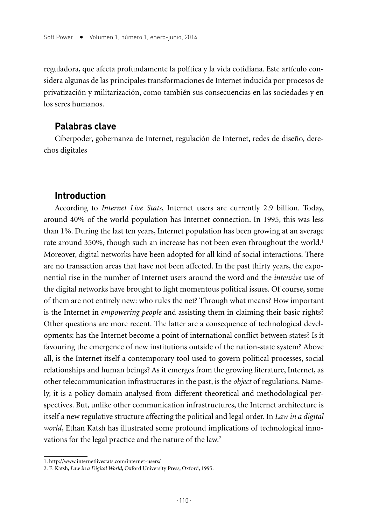reguladora, que afecta profundamente la política y la vida cotidiana. Este artículo considera algunas de las principales transformaciones de Internet inducida por procesos de privatización y militarización, como también sus consecuencias en las sociedades y en los seres humanos.

## **Palabras clave**

Ciberpoder, gobernanza de Internet, regulación de Internet, redes de diseño, derechos digitales

## **Introduction**

According to *Internet Live Stats*, Internet users are currently 2.9 billion. Today, around 40% of the world population has Internet connection. In 1995, this was less than 1%. During the last ten years, Internet population has been growing at an average rate around 350%, though such an increase has not been even throughout the world.<sup>1</sup> Moreover, digital networks have been adopted for all kind of social interactions. There are no transaction areas that have not been affected. In the past thirty years, the exponential rise in the number of Internet users around the word and the *intensive* use of the digital networks have brought to light momentous political issues. Of course, some of them are not entirely new: who rules the net? Through what means? How important is the Internet in *empowering people* and assisting them in claiming their basic rights? Other questions are more recent. The latter are a consequence of technological developments: has the Internet become a point of international conflict between states? Is it favouring the emergence of new institutions outside of the nation-state system? Above all, is the Internet itself a contemporary tool used to govern political processes, social relationships and human beings? As it emerges from the growing literature, Internet, as other telecommunication infrastructures in the past, is the *object* of regulations. Namely, it is a policy domain analysed from different theoretical and methodological perspectives. But, unlike other communication infrastructures, the Internet architecture is itself a new regulative structure affecting the political and legal order. In *Law in a digital world*, Ethan Katsh has illustrated some profound implications of technological innovations for the legal practice and the nature of the law.<sup>2</sup>

<sup>1.</sup> http://www.internetlivestats.com/internet-users/

<sup>2.</sup> E. Katsh, *Law in a Digital World*, Oxford University Press, Oxford, 1995.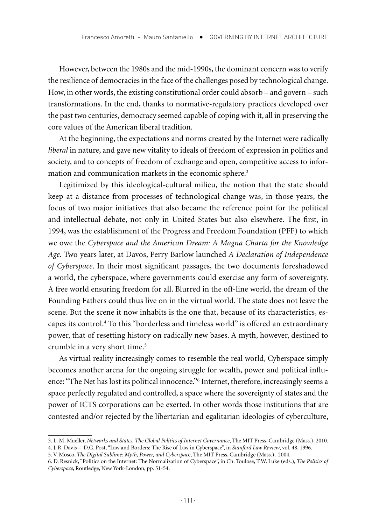However, between the 1980s and the mid-1990s, the dominant concern was to verify the resilience of democracies in the face of the challenges posed by technological change. How, in other words, the existing constitutional order could absorb – and govern – such transformations. In the end, thanks to normative-regulatory practices developed over the past two centuries, democracy seemed capable of coping with it, all in preserving the core values of the American liberal tradition.

At the beginning, the expectations and norms created by the Internet were radically *liberal* in nature, and gave new vitality to ideals of freedom of expression in politics and society, and to concepts of freedom of exchange and open, competitive access to information and communication markets in the economic sphere.<sup>3</sup>

Legitimized by this ideological-cultural milieu, the notion that the state should keep at a distance from processes of technological change was, in those years, the focus of two major initiatives that also became the reference point for the political and intellectual debate, not only in United States but also elsewhere. The first, in 1994, was the establishment of the Progress and Freedom Foundation (PFF) to which we owe the *Cyberspace and the American Dream: A Magna Charta for the Knowledge Age*. Two years later, at Davos, Perry Barlow launched *A Declaration of Independence of Cyberspace*. In their most significant passages, the two documents foreshadowed a world, the cyberspace, where governments could exercise any form of sovereignty. A free world ensuring freedom for all. Blurred in the off-line world, the dream of the Founding Fathers could thus live on in the virtual world. The state does not leave the scene. But the scene it now inhabits is the one that, because of its characteristics, escapes its control.4 To this "borderless and timeless world" is offered an extraordinary power, that of resetting history on radically new bases. A myth, however, destined to crumble in a very short time.<sup>5</sup>

As virtual reality increasingly comes to resemble the real world, Cyberspace simply becomes another arena for the ongoing struggle for wealth, power and political influence: "The Net has lost its political innocence."6 Internet, therefore, increasingly seems a space perfectly regulated and controlled, a space where the sovereignty of states and the power of ICTS corporations can be exerted. In other words those institutions that are contested and/or rejected by the libertarian and egalitarian ideologies of cyberculture,

<sup>3.</sup> L. M. Mueller, *Networks and States: The Global Politics of Internet Governance*, The MIT Press, Cambridge (Mass.), 2010.

<sup>4.</sup> J. R. Davis – D.G. Post, "Law and Borders: The Rise of Law in Cyberspace", in *Stanford Law Review*, vol. 48, 1996.

<sup>5.</sup> V. Mosco, *The Digital Sublime: Myth, Power, and Cyberspac*e, The MIT Press, Cambridge (Mass.), 2004.

<sup>6.</sup> D. Resnick, "Politics on the Internet: The Normalization of Cyberspace", in Ch. Toulose, T.W. Luke (eds.), *The Politics of Cyberspace*, Routledge, New York-London, pp. 51-54.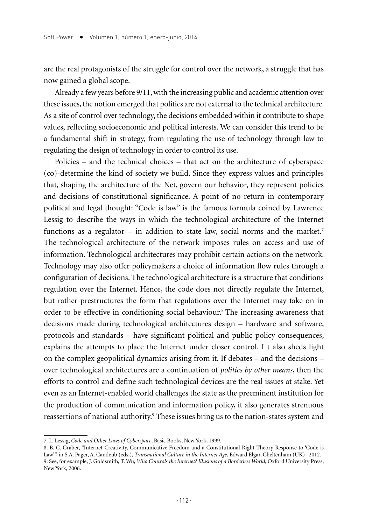are the real protagonists of the struggle for control over the network, a struggle that has now gained a global scope.

Already a few years before 9/11, with the increasing public and academic attention over these issues, the notion emerged that politics are not external to the technical architecture. As a site of control over technology, the decisions embedded within it contribute to shape values, reflecting socioeconomic and political interests. We can consider this trend to be a fundamental shift in strategy, from regulating the use of technology through law to regulating the design of technology in order to control its use.

Policies – and the technical choices – that act on the architecture of cyberspace (co)-determine the kind of society we build. Since they express values and principles that, shaping the architecture of the Net, govern our behavior, they represent policies and decisions of constitutional significance. A point of no return in contemporary political and legal thought: "Code is law" is the famous formula coined by Lawrence Lessig to describe the ways in which the technological architecture of the Internet functions as a regulator – in addition to state law, social norms and the market.<sup>7</sup> The technological architecture of the network imposes rules on access and use of information. Technological architectures may prohibit certain actions on the network. Technology may also offer policymakers a choice of information flow rules through a configuration of decisions. The technological architecture is a structure that conditions regulation over the Internet. Hence, the code does not directly regulate the Internet, but rather prestructures the form that regulations over the Internet may take on in order to be effective in conditioning social behaviour.8 The increasing awareness that decisions made during technological architectures design – hardware and software, protocols and standards – have significant political and public policy consequences, explains the attempts to place the Internet under closer control. I t also sheds light on the complex geopolitical dynamics arising from it. If debates – and the decisions – over technological architectures are a continuation of *politics by other means*, then the efforts to control and define such technological devices are the real issues at stake. Yet even as an Internet-enabled world challenges the state as the preeminent institution for the production of communication and information policy, it also generates strenuous reassertions of national authority.<sup>9</sup> These issues bring us to the nation-states system and

<sup>7.</sup> L. Lessig, *Code and Other Laws of Cyberspace*, Basic Books, New York, 1999.

<sup>8.</sup> B. C. Graber, "Internet Creativity, Communicative Freedom and a Constitutional Right Theory Response to 'Code is Law'", in S.A. Pager, A. Candeub (eds.), *Transnational Culture in the Internet Age*, Edward Elgar, Cheltenham (UK) , 2012. 9. See, for example, J. Goldsmith, T. Wu, *Who Controls the Internet? Illusions of a Borderless World*, Oxford University Press, New York, 2006.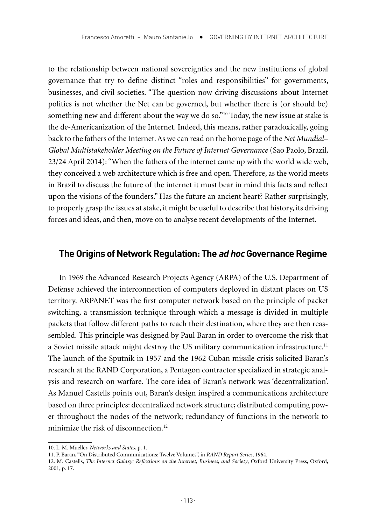to the relationship between national sovereignties and the new institutions of global governance that try to define distinct "roles and responsibilities" for governments, businesses, and civil societies. "The question now driving discussions about Internet politics is not whether the Net can be governed, but whether there is (or should be) something new and different about the way we do so."10 Today, the new issue at stake is the de-Americanization of the Internet. Indeed, this means, rather paradoxically, going back to the fathers of the Internet. As we can read on the home page of the *Net Mundial– Global Multistakeholder Meeting on the Future of Internet Governance* (Sao Paolo, Brazil, 23/24 April 2014): "When the fathers of the internet came up with the world wide web, they conceived a web architecture which is free and open. Therefore, as the world meets in Brazil to discuss the future of the internet it must bear in mind this facts and reflect upon the visions of the founders." Has the future an ancient heart? Rather surprisingly, to properly grasp the issues at stake, it might be useful to describe that history, its driving forces and ideas, and then, move on to analyse recent developments of the Internet.

## **The Origins of Network Regulation: The ad hoc Governance Regime**

In 1969 the Advanced Research Projects Agency (ARPA) of the U.S. Department of Defense achieved the interconnection of computers deployed in distant places on US territory. ARPANET was the first computer network based on the principle of packet switching, a transmission technique through which a message is divided in multiple packets that follow different paths to reach their destination, where they are then reassembled. This principle was designed by Paul Baran in order to overcome the risk that a Soviet missile attack might destroy the US military communication infrastructure.<sup>11</sup> The launch of the Sputnik in 1957 and the 1962 Cuban missile crisis solicited Baran's research at the RAND Corporation, a Pentagon contractor specialized in strategic analysis and research on warfare. The core idea of Baran's network was 'decentralization'. As Manuel Castells points out, Baran's design inspired a communications architecture based on three principles: decentralized network structure; distributed computing power throughout the nodes of the network; redundancy of functions in the network to minimize the risk of disconnection.<sup>12</sup>

<sup>10.</sup> L. M. Mueller, *Networks and States*, p. 1.

<sup>11.</sup> P. Baran, "On Distributed Communications: Twelve Volumes", in *RAND Report Series*, 1964.

<sup>12.</sup> M. Castells, *The Internet Galaxy: Reflections on the Internet, Business, and Society*, Oxford University Press, Oxford, 2001, p. 17.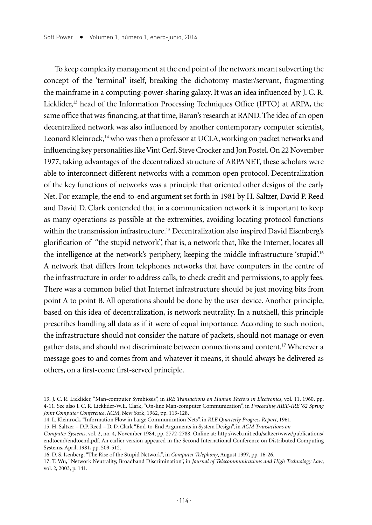To keep complexity management at the end point of the network meant subverting the concept of the 'terminal' itself, breaking the dichotomy master/servant, fragmenting the mainframe in a computing-power-sharing galaxy. It was an idea influenced by J. C. R. Licklider,13 head of the Information Processing Techniques Office (IPTO) at ARPA, the same office that was financing, at that time, Baran's research at RAND. The idea of an open decentralized network was also influenced by another contemporary computer scientist, Leonard Kleinrock,<sup>14</sup> who was then a professor at UCLA, working on packet networks and influencing key personalities like Vint Cerf, Steve Crocker and Jon Postel. On 22 November 1977, taking advantages of the decentralized structure of ARPANET, these scholars were able to interconnect different networks with a common open protocol. Decentralization of the key functions of networks was a principle that oriented other designs of the early Net. For example, the end-to-end argument set forth in 1981 by H. Saltzer, David P. Reed and David D. Clark contended that in a communication network it is important to keep as many operations as possible at the extremities, avoiding locating protocol functions within the transmission infrastructure.<sup>15</sup> Decentralization also inspired David Eisenberg's glorification of "the stupid network", that is, a network that, like the Internet, locates all the intelligence at the network's periphery, keeping the middle infrastructure 'stupid'.16 A network that differs from telephones networks that have computers in the centre of the infrastructure in order to address calls, to check credit and permissions, to apply fees. There was a common belief that Internet infrastructure should be just moving bits from point A to point B. All operations should be done by the user device. Another principle, based on this idea of decentralization, is network neutrality. In a nutshell, this principle prescribes handling all data as if it were of equal importance. According to such notion, the infrastructure should not consider the nature of packets, should not manage or even gather data, and should not discriminate between connections and content.17 Wherever a message goes to and comes from and whatever it means, it should always be delivered as others, on a first-come first-served principle.

<sup>13.</sup> J. C. R. Licklider, "Man-computer Symbiosis", in *IRE Transactions on Human Factors in Electronics*, vol. 11, 1960, pp. 4-11. See also J. C. R. Licklider-W.E. Clark, "On-line Man-computer Communication", in *Proceeding AIEE-IRE '62 Spring Joint Computer Conference*, ACM, New York, 1962, pp. 113-128.

<sup>14.</sup> L. Kleinrock, "Information Flow in Large Communication Nets", in *RLE Quarterly Progress Report*, 1961.

<sup>15.</sup> H. Saltzer – D.P. Reed – D. D. Clark "End-to-End Arguments in System Design", in *ACM Transactions on*

*Computer Systems*, vol. 2, no. 4, November 1984, pp. 2772-2788. Online at: http://web.mit.edu/saltzer/www/publications/ endtoend/endtoend.pdf. An earlier version appeared in the Second International Conference on Distributed Computing Systems, April, 1981, pp. 509-512.

<sup>16.</sup> D. S. Isenberg, "The Rise of the Stupid Network", in *Computer Telephony*, August 1997, pp. 16-26.

<sup>17.</sup> T. Wu, "Network Neutrality, Broadband Discrimination", in *Journal of Telecommunications and High Technology Law*, vol. 2, 2003, p. 141.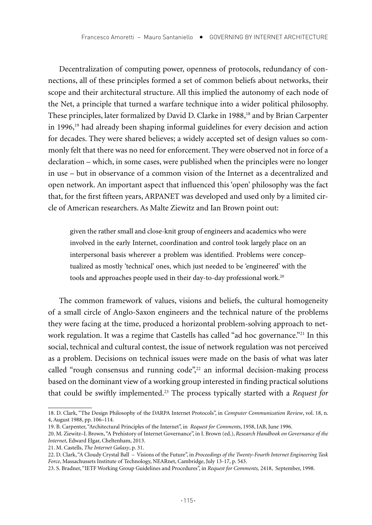Decentralization of computing power, openness of protocols, redundancy of connections, all of these principles formed a set of common beliefs about networks, their scope and their architectural structure. All this implied the autonomy of each node of the Net, a principle that turned a warfare technique into a wider political philosophy. These principles, later formalized by David D. Clarke in 1988,<sup>18</sup> and by Brian Carpenter in 1996,19 had already been shaping informal guidelines for every decision and action for decades. They were shared believes; a widely accepted set of design values so commonly felt that there was no need for enforcement. They were observed not in force of a declaration – which, in some cases, were published when the principles were no longer in use – but in observance of a common vision of the Internet as a decentralized and open network. An important aspect that influenced this 'open' philosophy was the fact that, for the first fifteen years, ARPANET was developed and used only by a limited circle of American researchers. As Malte Ziewitz and Ian Brown point out:

given the rather small and close-knit group of engineers and academics who were involved in the early Internet, coordination and control took largely place on an interpersonal basis wherever a problem was identified. Problems were conceptualized as mostly 'technical' ones, which just needed to be 'engineered' with the tools and approaches people used in their day-to-day professional work.<sup>20</sup>

The common framework of values, visions and beliefs, the cultural homogeneity of a small circle of Anglo-Saxon engineers and the technical nature of the problems they were facing at the time, produced a horizontal problem-solving approach to network regulation. It was a regime that Castells has called "ad hoc governance."<sup>21</sup> In this social, technical and cultural contest, the issue of network regulation was not perceived as a problem. Decisions on technical issues were made on the basis of what was later called "rough consensus and running code",<sup>22</sup> an informal decision-making process based on the dominant view of a working group interested in finding practical solutions that could be swiftly implemented.23 The process typically started with a *Request for* 

<sup>18.</sup> D. Clark, "The Design Philosophy of the DARPA Internet Protocols", in *Computer Communication Review*, vol. 18, n. 4, August 1988, pp. 106–114.

<sup>19.</sup> B. Carpenter, "Architectural Principles of the Internet", in *Request for Comments*, 1958, IAB, June 1996.

<sup>20.</sup> M. Ziewitz–I. Brown, "A Prehistory of Internet Governance", in I. Brown (ed.), *Research Handbook on Governance of the Internet*, Edward Elgar, Cheltenham, 2013.

<sup>21.</sup> M. Castells, *The Internet Galaxy*, p. 31.

<sup>22.</sup> D. Clark, "A Cloudy Crystal Ball – Visions of the Future", in *Proceedings of the Twenty-Fourth Internet Engineering Task Force*, Massachussets Institute of Technology, NEARnet, Cambridge, July 13-17, p. 543.

<sup>23.</sup> S. Bradner, "IETF Working Group Guidelines and Procedures", in *Request for Comments,* 2418, September, 1998.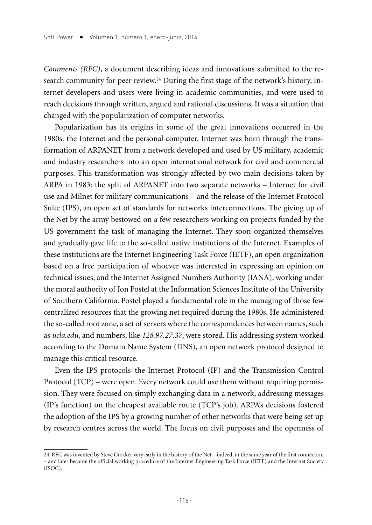*Comments (RFC)*, a document describing ideas and innovations submitted to the research community for peer review.<sup>24</sup> During the first stage of the network's history, Internet developers and users were living in academic communities, and were used to reach decisions through written, argued and rational discussions. It was a situation that changed with the popularization of computer networks.

Popularization has its origins in some of the great innovations occurred in the 1980s: the Internet and the personal computer. Internet was born through the transformation of ARPANET from a network developed and used by US military, academic and industry researchers into an open international network for civil and commercial purposes. This transformation was strongly affected by two main decisions taken by ARPA in 1983: the split of ARPANET into two separate networks – Internet for civil use and Milnet for military communications – and the release of the Internet Protocol Suite (IPS), an open set of standards for networks interconnections. The giving up of the Net by the army bestowed on a few researchers working on projects funded by the US government the task of managing the Internet. They soon organized themselves and gradually gave life to the so-called native institutions of the Internet. Examples of these institutions are the Internet Engineering Task Force (IETF), an open organization based on a free participation of whoever was interested in expressing an opinion on technical issues, and the Internet Assigned Numbers Authority (IANA), working under the moral authority of Jon Postel at the Information Sciences Institute of the University of Southern California. Postel played a fundamental role in the managing of those few centralized resources that the growing net required during the 1980s. He administered the so-called root zone, a set of servers where the correspondences between names, such as *ucla.edu*, and numbers, like *128.97.27.37*, were stored. His addressing system worked according to the Domain Name System (DNS), an open network protocol designed to manage this critical resource.

Even the IPS protocols–the Internet Protocol (IP) and the Transmission Control Protocol (TCP) – were open. Every network could use them without requiring permission. They were focused on simply exchanging data in a network, addressing messages (IP's function) on the cheapest available route (TCP's job). ARPA's decisions fostered the adoption of the IPS by a growing number of other networks that were being set up by research centres across the world. The focus on civil purposes and the openness of

<sup>24.</sup> RFC was invented by Steve Crocker very early in the history of the Net – indeed, in the same year of the first connection – and later became the official working procedure of the Internet Engineering Task Force (IETF) and the Internet Society (ISOC).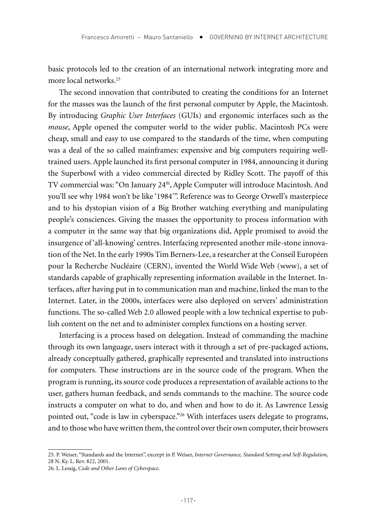basic protocols led to the creation of an international network integrating more and more local networks.25

The second innovation that contributed to creating the conditions for an Internet for the masses was the launch of the first personal computer by Apple, the Macintosh. By introducing *Graphic User Interfaces* (GUIs) and ergonomic interfaces such as the *mouse*, Apple opened the computer world to the wider public. Macintosh PCs were cheap, small and easy to use compared to the standards of the time, when computing was a deal of the so called mainframes: expensive and big computers requiring welltrained users. Apple launched its first personal computer in 1984, announcing it during the Superbowl with a video commercial directed by Ridley Scott. The payoff of this TV commercial was: "On January 24th, Apple Computer will introduce Macintosh. And you'll see why 1984 won't be like '1984'". Reference was to George Orwell's masterpiece and to his dystopian vision of a Big Brother watching everything and manipulating people's consciences. Giving the masses the opportunity to process information with a computer in the same way that big organizations did, Apple promised to avoid the insurgence of 'all-knowing' centres. Interfacing represented another mile-stone innovation of the Net. In the early 1990s Tim Berners-Lee, a researcher at the Conseil Européen pour la Recherche Nucléaire (CERN), invented the World Wide Web (www), a set of standards capable of graphically representing information available in the Internet. Interfaces, after having put in to communication man and machine, linked the man to the Internet. Later, in the 2000s, interfaces were also deployed on servers' administration functions. The so-called Web 2.0 allowed people with a low technical expertise to publish content on the net and to administer complex functions on a hosting server.

Interfacing is a process based on delegation. Instead of commanding the machine through its own language, users interact with it through a set of pre-packaged actions, already conceptually gathered, graphically represented and translated into instructions for computers. These instructions are in the source code of the program. When the program is running, its source code produces a representation of available actions to the user, gathers human feedback, and sends commands to the machine. The source code instructs a computer on what to do, and when and how to do it. As Lawrence Lessig pointed out, "code is law in cyberspace."26 With interfaces users delegate to programs, and to those who have written them, the control over their own computer, their browsers

<sup>25.</sup> P. Weiser, "Standards and the Internet", excerpt in P. Weiser, *Internet Governance, Standard Setting and Self-Regulation,*  28 N. Ky. L. Rev. 822, 2001.

<sup>26.</sup> L. Lessig, *Code and Other Laws of Cyberspace*.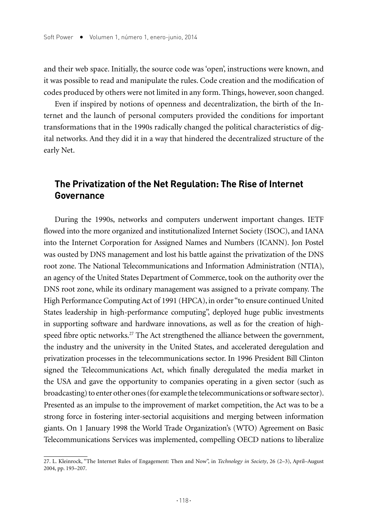and their web space. Initially, the source code was 'open', instructions were known, and it was possible to read and manipulate the rules. Code creation and the modification of codes produced by others were not limited in any form. Things, however, soon changed.

Even if inspired by notions of openness and decentralization, the birth of the Internet and the launch of personal computers provided the conditions for important transformations that in the 1990s radically changed the political characteristics of digital networks. And they did it in a way that hindered the decentralized structure of the early Net.

## **The Privatization of the Net Regulation: The Rise of Internet Governance**

During the 1990s, networks and computers underwent important changes. IETF flowed into the more organized and institutionalized Internet Society (ISOC), and IANA into the Internet Corporation for Assigned Names and Numbers (ICANN). Jon Postel was ousted by DNS management and lost his battle against the privatization of the DNS root zone. The National Telecommunications and Information Administration (NTIA), an agency of the United States Department of Commerce, took on the authority over the DNS root zone, while its ordinary management was assigned to a private company. The High Performance Computing Act of 1991 (HPCA), in order "to ensure continued United States leadership in high-performance computing", deployed huge public investments in supporting software and hardware innovations, as well as for the creation of highspeed fibre optic networks.<sup>27</sup> The Act strengthened the alliance between the government, the industry and the university in the United States, and accelerated deregulation and privatization processes in the telecommunications sector. In 1996 President Bill Clinton signed the Telecommunications Act, which finally deregulated the media market in the USA and gave the opportunity to companies operating in a given sector (such as broadcasting) to enter other ones (for example the telecommunications or software sector). Presented as an impulse to the improvement of market competition, the Act was to be a strong force in fostering inter-sectorial acquisitions and merging between information giants. On 1 January 1998 the World Trade Organization's (WTO) Agreement on Basic Telecommunications Services was implemented, compelling OECD nations to liberalize

<sup>27.</sup> L. Kleinrock, "The Internet Rules of Engagement: Then and Now", in *Technology in Society*, 26 (2–3), April–August 2004, pp. 193–207.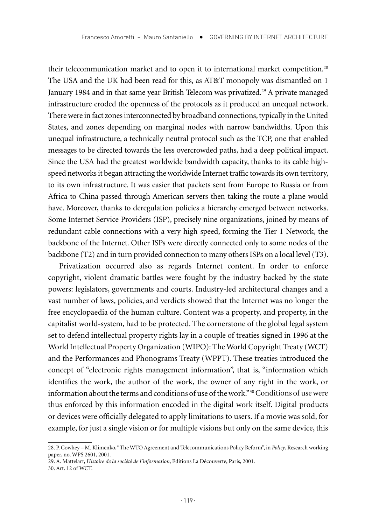their telecommunication market and to open it to international market competition.<sup>28</sup> The USA and the UK had been read for this, as AT&T monopoly was dismantled on 1 January 1984 and in that same year British Telecom was privatized.29 A private managed infrastructure eroded the openness of the protocols as it produced an unequal network. There were in fact zones interconnected by broadband connections, typically in the United States, and zones depending on marginal nodes with narrow bandwidths. Upon this unequal infrastructure, a technically neutral protocol such as the TCP, one that enabled messages to be directed towards the less overcrowded paths, had a deep political impact. Since the USA had the greatest worldwide bandwidth capacity, thanks to its cable highspeed networks it began attracting the worldwide Internet traffic towards its own territory, to its own infrastructure. It was easier that packets sent from Europe to Russia or from Africa to China passed through American servers then taking the route a plane would have. Moreover, thanks to deregulation policies a hierarchy emerged between networks. Some Internet Service Providers (ISP), precisely nine organizations, joined by means of redundant cable connections with a very high speed, forming the Tier 1 Network, the backbone of the Internet. Other ISPs were directly connected only to some nodes of the backbone (T2) and in turn provided connection to many others ISPs on a local level (T3).

Privatization occurred also as regards Internet content. In order to enforce copyright, violent dramatic battles were fought by the industry backed by the state powers: legislators, governments and courts. Industry-led architectural changes and a vast number of laws, policies, and verdicts showed that the Internet was no longer the free encyclopaedia of the human culture. Content was a property, and property, in the capitalist world-system, had to be protected. The cornerstone of the global legal system set to defend intellectual property rights lay in a couple of treaties signed in 1996 at the World Intellectual Property Organization (WIPO): The World Copyright Treaty (WCT) and the Performances and Phonograms Treaty (WPPT). These treaties introduced the concept of "electronic rights management information", that is, "information which identifies the work, the author of the work, the owner of any right in the work, or information about the terms and conditions of use of the work."30 Conditions of use were thus enforced by this information encoded in the digital work itself. Digital products or devices were officially delegated to apply limitations to users. If a movie was sold, for example, for just a single vision or for multiple visions but only on the same device, this

30. Art. 12 of WCT.

<sup>28.</sup> P. Cowhey – M. Klimenko, "The WTO Agreement and Telecommunications Policy Reform", in *Policy*, Research working paper, no. WPS 2601, 2001.

<sup>29.</sup> A. Mattelart, *Histoire de la société de l'information*, Editions La Découverte, Paris, 2001.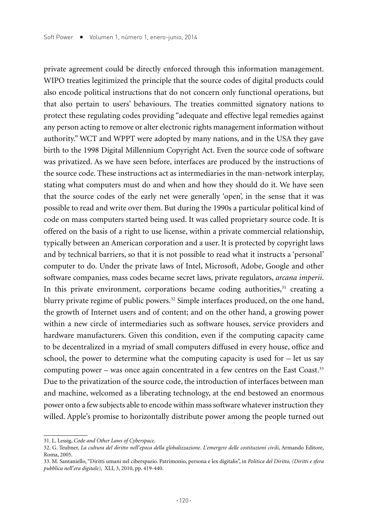private agreement could be directly enforced through this information management. WIPO treaties legitimized the principle that the source codes of digital products could also encode political instructions that do not concern only functional operations, but that also pertain to users' behaviours. The treaties committed signatory nations to protect these regulating codes providing "adequate and effective legal remedies against any person acting to remove or alter electronic rights management information without authority." WCT and WPPT were adopted by many nations, and in the USA they gave birth to the 1998 Digital Millennium Copyright Act. Even the source code of software was privatized. As we have seen before, interfaces are produced by the instructions of the source code. These instructions act as intermediaries in the man-network interplay, stating what computers must do and when and how they should do it. We have seen that the source codes of the early net were generally 'open', in the sense that it was possible to read and write over them. But during the 1990s a particular political kind of code on mass computers started being used. It was called proprietary source code. It is offered on the basis of a right to use license, within a private commercial relationship, typically between an American corporation and a user. It is protected by copyright laws and by technical barriers, so that it is not possible to read what it instructs a 'personal' computer to do. Under the private laws of Intel, Microsoft, Adobe, Google and other software companies, mass codes became secret laws, private regulators, *arcana imperii*. In this private environment, corporations became coding authorities, $31$  creating a blurry private regime of public powers.<sup>32</sup> Simple interfaces produced, on the one hand, the growth of Internet users and of content; and on the other hand, a growing power within a new circle of intermediaries such as software houses, service providers and hardware manufacturers. Given this condition, even if the computing capacity came to be decentralized in a myriad of small computers diffused in every house, office and school, the power to determine what the computing capacity is used for – let us say computing power – was once again concentrated in a few centres on the East Coast.<sup>33</sup> Due to the privatization of the source code, the introduction of interfaces between man and machine, welcomed as a liberating technology, at the end bestowed an enormous power onto a few subjects able to encode within mass software whatever instruction they willed. Apple's promise to horizontally distribute power among the people turned out

<sup>31.</sup> L. Lessig, *Code and Other Laws of Cyberspace*.

<sup>32.</sup> G. Teubner, *La cultura del diritto nell'epoca della globalizzazione. L'emergere delle costituzioni civili*, Armando Editore, Roma, 2005.

<sup>33.</sup> M. Santaniello, "Diritti umani nel ciberspazio. Patrimonio, persona e lex digitalis", in *Politica del Diritto, (Diritti e sfera pubblica nell'era digitale)*, XLI, 3, 2010, pp. 419-440.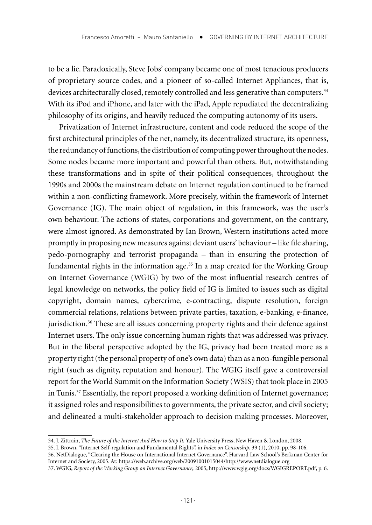to be a lie. Paradoxically, Steve Jobs' company became one of most tenacious producers of proprietary source codes, and a pioneer of so-called Internet Appliances, that is, devices architecturally closed, remotely controlled and less generative than computers.<sup>34</sup> With its iPod and iPhone, and later with the iPad, Apple repudiated the decentralizing philosophy of its origins, and heavily reduced the computing autonomy of its users.

Privatization of Internet infrastructure, content and code reduced the scope of the first architectural principles of the net, namely, its decentralized structure, its openness, the redundancy of functions, the distribution of computing power throughout the nodes. Some nodes became more important and powerful than others. But, notwithstanding these transformations and in spite of their political consequences, throughout the 1990s and 2000s the mainstream debate on Internet regulation continued to be framed within a non-conflicting framework. More precisely, within the framework of Internet Governance (IG). The main object of regulation, in this framework, was the user's own behaviour. The actions of states, corporations and government, on the contrary, were almost ignored. As demonstrated by Ian Brown, Western institutions acted more promptly in proposing new measures against deviant users' behaviour – like file sharing, pedo-pornography and terrorist propaganda – than in ensuring the protection of fundamental rights in the information age.<sup>35</sup> In a map created for the Working Group on Internet Governance (WGIG) by two of the most influential research centres of legal knowledge on networks, the policy field of IG is limited to issues such as digital copyright, domain names, cybercrime, e-contracting, dispute resolution, foreign commercial relations, relations between private parties, taxation, e-banking, e-finance, jurisdiction.36 These are all issues concerning property rights and their defence against Internet users. The only issue concerning human rights that was addressed was privacy. But in the liberal perspective adopted by the IG, privacy had been treated more as a property right (the personal property of one's own data) than as a non-fungible personal right (such as dignity, reputation and honour). The WGIG itself gave a controversial report for the World Summit on the Information Society (WSIS) that took place in 2005 in Tunis.<sup>37</sup> Essentially, the report proposed a working definition of Internet governance; it assigned roles and responsibilities to governments, the private sector, and civil society; and delineated a multi-stakeholder approach to decision making processes. Moreover,

<sup>34.</sup> J. Zittrain, *The Future of the Internet And How to Stop It,* Yale University Press, New Haven & London, 2008.

<sup>35.</sup> I. Brown, "Internet Self-regulation and Fundamental Rights", in *Index on Censorship*, 39 (1), 2010, pp. 98-106.

<sup>36.</sup> NetDialogue, "Clearing the House on International Internet Governance", Harvard Law School's Berkman Center for Internet and Society, 2005. At: https://web.archive.org/web/20091001015044/http://www.netdialogue.org

<sup>37.</sup> WGIG, *Report of the Working Group on Internet Governance,* 2005, http://www.wgig.org/docs/WGIGREPORT.pdf, p. 6.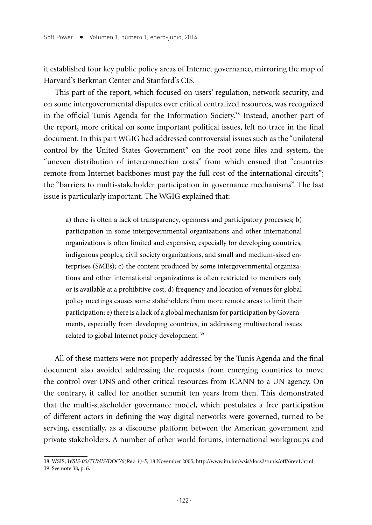it established four key public policy areas of Internet governance, mirroring the map of Harvard's Berkman Center and Stanford's CIS.

This part of the report, which focused on users' regulation, network security, and on some intergovernmental disputes over critical centralized resources, was recognized in the official Tunis Agenda for the Information Society.38 Instead, another part of the report, more critical on some important political issues, left no trace in the final document. In this part WGIG had addressed controversial issues such as the "unilateral control by the United States Government" on the root zone files and system, the "uneven distribution of interconnection costs" from which ensued that "countries remote from Internet backbones must pay the full cost of the international circuits"; the "barriers to multi-stakeholder participation in governance mechanisms". The last issue is particularly important. The WGIG explained that:

a) there is often a lack of transparency, openness and participatory processes; b) participation in some intergovernmental organizations and other international organizations is often limited and expensive, especially for developing countries, indigenous peoples, civil society organizations, and small and medium-sized enterprises (SMEs); c) the content produced by some intergovernmental organizations and other international organizations is often restricted to members only or is available at a prohibitive cost; d) frequency and location of venues for global policy meetings causes some stakeholders from more remote areas to limit their participation; e) there is a lack of a global mechanism for participation by Governments, especially from developing countries, in addressing multisectoral issues related to global Internet policy development. 39

All of these matters were not properly addressed by the Tunis Agenda and the final document also avoided addressing the requests from emerging countries to move the control over DNS and other critical resources from ICANN to a UN agency. On the contrary, it called for another summit ten years from then. This demonstrated that the multi-stakeholder governance model, which postulates a free participation of different actors in defining the way digital networks were governed, turned to be serving, essentially, as a discourse platform between the American government and private stakeholders. A number of other world forums, international workgroups and

<sup>38.</sup> WSIS, *WSIS-05/TUNIS/DOC/6(Rev. 1)-E*, 18 November 2005, http://www.itu.int/wsis/docs2/tunis/off/6rev1.html 39. See note 38, p. 6.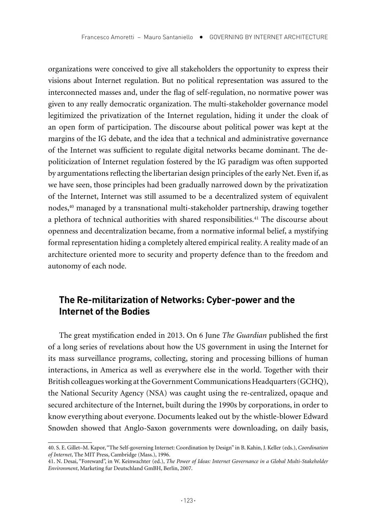organizations were conceived to give all stakeholders the opportunity to express their visions about Internet regulation. But no political representation was assured to the interconnected masses and, under the flag of self-regulation, no normative power was given to any really democratic organization. The multi-stakeholder governance model legitimized the privatization of the Internet regulation, hiding it under the cloak of an open form of participation. The discourse about political power was kept at the margins of the IG debate, and the idea that a technical and administrative governance of the Internet was sufficient to regulate digital networks became dominant. The depoliticization of Internet regulation fostered by the IG paradigm was often supported by argumentations reflecting the libertarian design principles of the early Net. Even if, as we have seen, those principles had been gradually narrowed down by the privatization of the Internet, Internet was still assumed to be a decentralized system of equivalent nodes,40 managed by a transnational multi-stakeholder partnership, drawing together a plethora of technical authorities with shared responsibilities.<sup>41</sup> The discourse about openness and decentralization became, from a normative informal belief, a mystifying formal representation hiding a completely altered empirical reality. A reality made of an architecture oriented more to security and property defence than to the freedom and autonomy of each node.

## **The Re-militarization of Networks: Cyber-power and the Internet of the Bodies**

The great mystification ended in 2013. On 6 June *The Guardian* published the first of a long series of revelations about how the US government in using the Internet for its mass surveillance programs, collecting, storing and processing billions of human interactions, in America as well as everywhere else in the world. Together with their British colleagues working at the Government Communications Headquarters (GCHQ), the National Security Agency (NSA) was caught using the re-centralized, opaque and secured architecture of the Internet, built during the 1990s by corporations, in order to know everything about everyone. Documents leaked out by the whistle-blower Edward Snowden showed that Anglo-Saxon governments were downloading, on daily basis,

<sup>40.</sup> S. E. Gillet–M. Kapor, "The Self-governing Internet: Coordination by Design" in B. Kahin, J. Keller (eds.), *Coordination of Internet*, The MIT Press, Cambridge (Mass.), 1996.

<sup>41.</sup> N. Desai, "Foreward", in W. Keinwachter (ed.), *The Power of Ideas: Internet Governance in a Global Multi-Stakeholder Environment*, Marketing fur Deutschland GmBH, Berlin, 2007.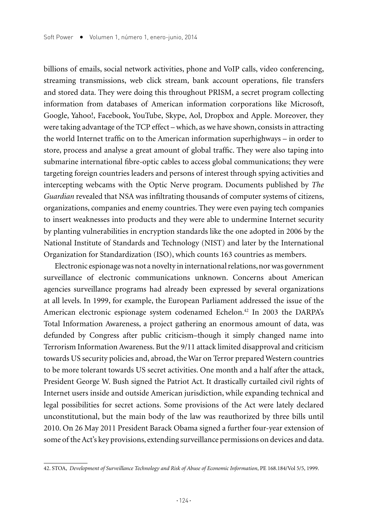billions of emails, social network activities, phone and VoIP calls, video conferencing, streaming transmissions, web click stream, bank account operations, file transfers and stored data. They were doing this throughout PRISM, a secret program collecting information from databases of American information corporations like Microsoft, Google, Yahoo!, Facebook, YouTube, Skype, Aol, Dropbox and Apple. Moreover, they were taking advantage of the TCP effect – which, as we have shown, consists in attracting the world Internet traffic on to the American information superhighways – in order to store, process and analyse a great amount of global traffic. They were also taping into submarine international fibre-optic cables to access global communications; they were targeting foreign countries leaders and persons of interest through spying activities and intercepting webcams with the Optic Nerve program. Documents published by *The Guardian* revealed that NSA was infiltrating thousands of computer systems of citizens, organizations, companies and enemy countries. They were even paying tech companies to insert weaknesses into products and they were able to undermine Internet security by planting vulnerabilities in encryption standards like the one adopted in 2006 by the National Institute of Standards and Technology (NIST) and later by the International Organization for Standardization (ISO), which counts 163 countries as members.

Electronic espionage was not a novelty in international relations, nor was government surveillance of electronic communications unknown. Concerns about American agencies surveillance programs had already been expressed by several organizations at all levels. In 1999, for example, the European Parliament addressed the issue of the American electronic espionage system codenamed Echelon.<sup>42</sup> In 2003 the DARPA's Total Information Awareness, a project gathering an enormous amount of data, was defunded by Congress after public criticism–though it simply changed name into Terrorism Information Awareness. But the 9/11 attack limited disapproval and criticism towards US security policies and, abroad, the War on Terror prepared Western countries to be more tolerant towards US secret activities. One month and a half after the attack, President George W. Bush signed the Patriot Act. It drastically curtailed civil rights of Internet users inside and outside American jurisdiction, while expanding technical and legal possibilities for secret actions. Some provisions of the Act were lately declared unconstitutional, but the main body of the law was reauthorized by three bills until 2010. On 26 May 2011 President Barack Obama signed a further four-year extension of some of the Act's key provisions, extending surveillance permissions on devices and data.

<sup>42.</sup> STOA, *Development of Surveillance Technology and Risk of Abuse of Economic Information*, PE 168.184/Vol 5/5, 1999.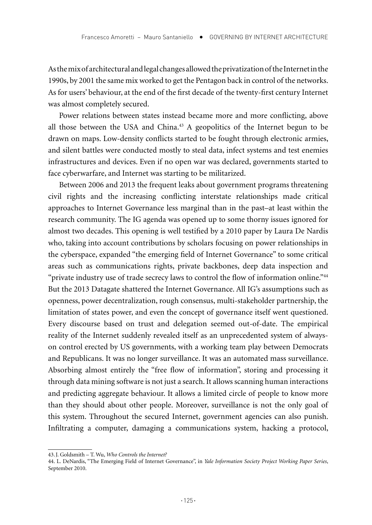As the mix of architectural and legal changes allowed the privatization of the Internet in the 1990s, by 2001 the same mix worked to get the Pentagon back in control of the networks. As for users' behaviour, at the end of the first decade of the twenty-first century Internet was almost completely secured.

Power relations between states instead became more and more conflicting, above all those between the USA and China.<sup>43</sup> A geopolitics of the Internet begun to be drawn on maps. Low-density conflicts started to be fought through electronic armies, and silent battles were conducted mostly to steal data, infect systems and test enemies infrastructures and devices. Even if no open war was declared, governments started to face cyberwarfare, and Internet was starting to be militarized.

Between 2006 and 2013 the frequent leaks about government programs threatening civil rights and the increasing conflicting interstate relationships made critical approaches to Internet Governance less marginal than in the past–at least within the research community. The IG agenda was opened up to some thorny issues ignored for almost two decades. This opening is well testified by a 2010 paper by Laura De Nardis who, taking into account contributions by scholars focusing on power relationships in the cyberspace, expanded "the emerging field of Internet Governance" to some critical areas such as communications rights, private backbones, deep data inspection and "private industry use of trade secrecy laws to control the flow of information online."<sup>44</sup> But the 2013 Datagate shattered the Internet Governance. All IG's assumptions such as openness, power decentralization, rough consensus, multi-stakeholder partnership, the limitation of states power, and even the concept of governance itself went questioned. Every discourse based on trust and delegation seemed out-of-date. The empirical reality of the Internet suddenly revealed itself as an unprecedented system of alwayson control erected by US governments, with a working team play between Democrats and Republicans. It was no longer surveillance. It was an automated mass surveillance. Absorbing almost entirely the "free flow of information", storing and processing it through data mining software is not just a search. It allows scanning human interactions and predicting aggregate behaviour. It allows a limited circle of people to know more than they should about other people. Moreover, surveillance is not the only goal of this system. Throughout the secured Internet, government agencies can also punish. Infiltrating a computer, damaging a communications system, hacking a protocol,

<sup>43.</sup>J. Goldsmith – T. Wu, *Who Controls the Internet?*

<sup>44.</sup> L. DeNardis, "The Emerging Field of Internet Governance", in *Yale Information Society Project Working Paper Series*, September 2010.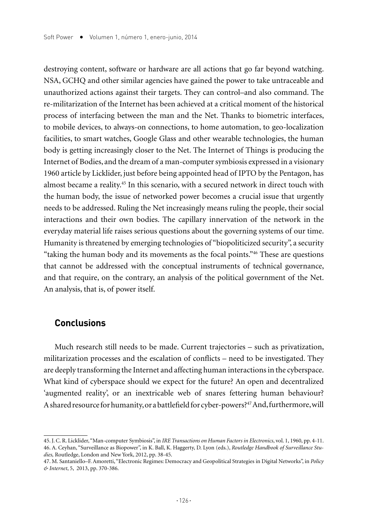destroying content, software or hardware are all actions that go far beyond watching. NSA, GCHQ and other similar agencies have gained the power to take untraceable and unauthorized actions against their targets. They can control–and also command. The re-militarization of the Internet has been achieved at a critical moment of the historical process of interfacing between the man and the Net. Thanks to biometric interfaces, to mobile devices, to always-on connections, to home automation, to geo-localization facilities, to smart watches, Google Glass and other wearable technologies, the human body is getting increasingly closer to the Net. The Internet of Things is producing the Internet of Bodies, and the dream of a man-computer symbiosis expressed in a visionary 1960 article by Licklider, just before being appointed head of IPTO by the Pentagon, has almost became a reality.45 In this scenario, with a secured network in direct touch with the human body, the issue of networked power becomes a crucial issue that urgently needs to be addressed. Ruling the Net increasingly means ruling the people, their social interactions and their own bodies. The capillary innervation of the network in the everyday material life raises serious questions about the governing systems of our time. Humanity is threatened by emerging technologies of "biopoliticized security", a security "taking the human body and its movements as the focal points."46 These are questions that cannot be addressed with the conceptual instruments of technical governance, and that require, on the contrary, an analysis of the political government of the Net. An analysis, that is, of power itself.

#### **Conclusions**

Much research still needs to be made. Current trajectories – such as privatization, militarization processes and the escalation of conflicts – need to be investigated. They are deeply transforming the Internet and affecting human interactions in the cyberspace. What kind of cyberspace should we expect for the future? An open and decentralized 'augmented reality', or an inextricable web of snares fettering human behaviour? A shared resource for humanity, or a battlefield for cyber-powers?<sup>47</sup> And, furthermore, will

<sup>45.</sup> J. C. R. Licklider, "Man-computer Symbiosis", in *IRE Transactions on Human Factors in Electronics*, vol. 1, 1960, pp. 4-11. 46. A. Ceyhan, "Surveillance as Biopower", in K. Ball, K. Haggerty, D. Lyon (eds.), *Routledge Handbook of Surveillance Studies,* Routledge, London and New York, 2012, pp. 38-45.

<sup>47.</sup> M. Santaniello–F. Amoretti, "Electronic Regimes: Democracy and Geopolitical Strategies in Digital Networks", in *Policy & Internet*, 5, 2013, pp. 370-386.